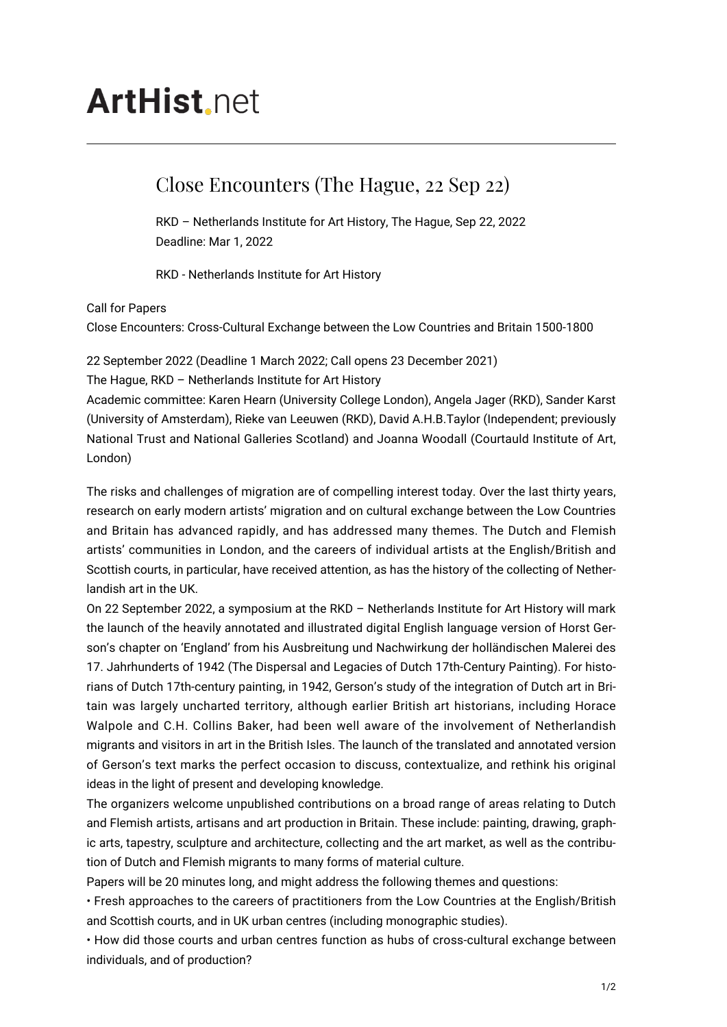# **ArtHist** net

## Close Encounters (The Hague, 22 Sep 22)

RKD – Netherlands Institute for Art History, The Hague, Sep 22, 2022 Deadline: Mar 1, 2022

RKD - Netherlands Institute for Art History

### Call for Papers

Close Encounters: Cross-Cultural Exchange between the Low Countries and Britain 1500-1800

22 September 2022 (Deadline 1 March 2022; Call opens 23 December 2021) The Hague, RKD – Netherlands Institute for Art History

Academic committee: Karen Hearn (University College London), Angela Jager (RKD), Sander Karst (University of Amsterdam), Rieke van Leeuwen (RKD), David A.H.B.Taylor (Independent; previously National Trust and National Galleries Scotland) and Joanna Woodall (Courtauld Institute of Art, London)

The risks and challenges of migration are of compelling interest today. Over the last thirty years, research on early modern artists' migration and on cultural exchange between the Low Countries and Britain has advanced rapidly, and has addressed many themes. The Dutch and Flemish artists' communities in London, and the careers of individual artists at the English/British and Scottish courts, in particular, have received attention, as has the history of the collecting of Netherlandish art in the UK.

On 22 September 2022, a symposium at the RKD – Netherlands Institute for Art History will mark the launch of the heavily annotated and illustrated digital English language version of Horst Gerson's chapter on 'England' from his Ausbreitung und Nachwirkung der holländischen Malerei des 17. Jahrhunderts of 1942 (The Dispersal and Legacies of Dutch 17th-Century Painting). For historians of Dutch 17th-century painting, in 1942, Gerson's study of the integration of Dutch art in Britain was largely uncharted territory, although earlier British art historians, including Horace Walpole and C.H. Collins Baker, had been well aware of the involvement of Netherlandish migrants and visitors in art in the British Isles. The launch of the translated and annotated version of Gerson's text marks the perfect occasion to discuss, contextualize, and rethink his original ideas in the light of present and developing knowledge.

The organizers welcome unpublished contributions on a broad range of areas relating to Dutch and Flemish artists, artisans and art production in Britain. These include: painting, drawing, graphic arts, tapestry, sculpture and architecture, collecting and the art market, as well as the contribution of Dutch and Flemish migrants to many forms of material culture.

Papers will be 20 minutes long, and might address the following themes and questions:

• Fresh approaches to the careers of practitioners from the Low Countries at the English/British and Scottish courts, and in UK urban centres (including monographic studies).

• How did those courts and urban centres function as hubs of cross-cultural exchange between individuals, and of production?